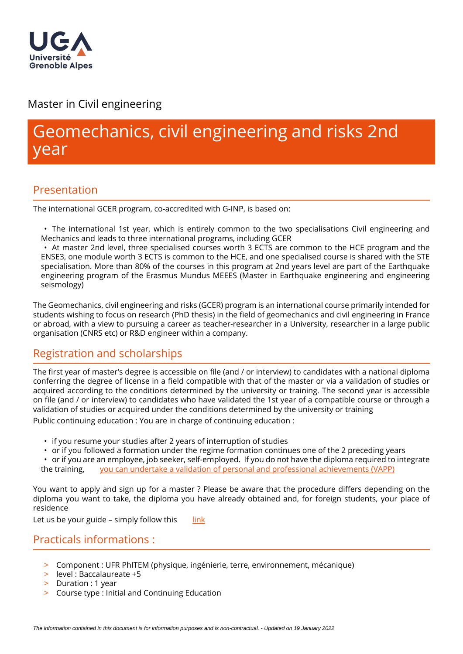

# Master in Civil engineering

# Geomechanics, civil engineering and risks 2nd year

# Presentation

The international GCER program, co-accredited with G-INP, is based on:

• The international 1st year, which is entirely common to the two specialisations Civil engineering and Mechanics and leads to three international programs, including GCER

• At master 2nd level, three specialised courses worth 3 ECTS are common to the HCE program and the ENSE3, one module worth 3 ECTS is common to the HCE, and one specialised course is shared with the STE specialisation. More than 80% of the courses in this program at 2nd years level are part of the Earthquake engineering program of the Erasmus Mundus MEEES (Master in Earthquake engineering and engineering seismology)

The Geomechanics, civil engineering and risks (GCER) program is an international course primarily intended for students wishing to focus on research (PhD thesis) in the field of geomechanics and civil engineering in France or abroad, with a view to pursuing a career as teacher-researcher in a University, researcher in a large public organisation (CNRS etc) or R&D engineer within a company.

# Registration and scholarships

The first year of master's degree is accessible on file (and / or interview) to candidates with a national diploma conferring the degree of license in a field compatible with that of the master or via a validation of studies or acquired according to the conditions determined by the university or training. The second year is accessible on file (and / or interview) to candidates who have validated the 1st year of a compatible course or through a validation of studies or acquired under the conditions determined by the university or training Public continuing education : You are in charge of continuing education :

- if you resume your studies after 2 years of interruption of studies
- or if you followed a formation under the regime formation continues one of the 2 preceding years

• or if you are an employee, job seeker, self-employed. If you do not have the diploma required to integrate the training, [you can undertake a validation of personal and professional achievements \(VAPP\)](https://www.univ-grenoble-alpes.fr/construire-son-parcours/valider-ses-acquis/validation-des-acquis-personnels-et-professionnels-vapp-/)

You want to apply and sign up for a master ? Please be aware that the procedure differs depending on the diploma you want to take, the diploma you have already obtained and, for foreign students, your place of residence

Let us be your guide – simply follow this  $\quad$  [link](https://www.univ-grenoble-alpes.fr/education/how-to-apply/applying-and-registering/)

# Practicals informations :

- > Component : UFR PhITEM (physique, ingénierie, terre, environnement, mécanique)
- $\geq$  level: Baccalaureate +5
- > Duration : 1 year
- > Course type : Initial and Continuing Education